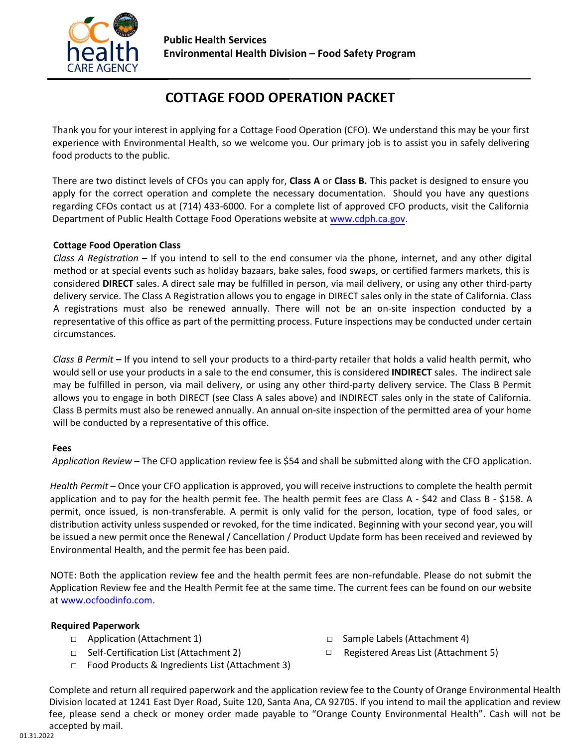

## **COTTAGE FOOD OPERATION PACKET**

Thank you for your interest in applying for a Cottage Food Operation (CFO). We understand this may be your first experience with Environmental Health, so we welcome you. Our primary job is to assist you in safely delivering food products to the public.

There are two distinct levels of CFOs you can apply for, **Class A** or **Class B.** This packet is designed to ensure you apply for the correct operation and complete the necessary documentation. Should you have any questions regarding CFOs contact us at (714) 433-6000. For a complete list of approved CFO products, visit the California Department of Public Health Cottage Food Operations website a[t www.cdph.ca.gov.](https://www.cdph.ca.gov/Programs/CEH/DFDCS/Pages/FDBPrograms/FoodSafetyProgram/CottageFoodOperations.aspx)

#### **Cottage Food Operation Class**

*Class A Registration* **–** If you intend to sell to the end consumer via the phone, internet, and any other digital method or at special events such as holiday bazaars, bake sales, food swaps, or certified farmers markets, this is considered **DIRECT** sales. A direct sale may be fulfilled in person, via mail delivery, or using any other third-party delivery service. The Class A Registration allows you to engage in DIRECT sales only in the state of California. Class A registrations must also be renewed annually. There will not be an on-site inspection conducted by a representative of this office as part of the permitting process. Future inspections may be conducted under certain circumstances.

*Class B Permit* **–** If you intend to sell your products to a third-party retailer that holds a valid health permit, who would sell or use your products in a sale to the end consumer, this is considered **INDIRECT** sales. The indirect sale may be fulfilled in person, via mail delivery, or using any other third-party delivery service. The Class B Permit allows you to engage in both DIRECT (see Class A sales above) and INDIRECT sales only in the state of California. Class B permits must also be renewed annually. An annual on-site inspection of the permitted area of your home will be conducted by a representative of this office.

#### **Fees**

*Application Review* – The CFO application review fee is \$54 and shall be submitted along with the CFO application.

*Health Permit* – Once your CFO application is approved, you will receive instructions to complete the health permit application and to pay for the health permit fee. The health permit fees are Class A - \$42 and Class B - \$158. A permit, once issued, is non-transferable. A permit is only valid for the person, location, type of food sales, or distribution activity unless suspended or revoked, for the time indicated. Beginning with your second year, you will be issued a new permit once the Renewal / Cancellation / Product Update form has been received and reviewed by Environmental Health, and the permit fee has been paid.

NOTE: Both the application review fee and the health permit fees are non-refundable. Please do not submit the Application Review fee and the Health Permit fee at the same time. The current fees can be found on our website at [www.ocfoodinfo.com.](http://www.ochealthinfo.com/eh/home/fees) 

#### **Required Paperwork**

- 
- 
- **□** Food Products & Ingredients List (Attachment 3)
- **□** Application (Attachment 1) **□** Sample Labels (Attachment 4)
- **□** Self-Certification List (Attachment 2) **□** Registered Areas List (Attachment 5)

Complete and return all required paperwork and the application review fee to the County of Orange Environmental Health Division located at 1241 East Dyer Road, Suite 120, Santa Ana, CA 92705. If you intend to mail the application and review fee, please send a check or money order made payable to "Orange County Environmental Health". Cash will not be accepted by mail.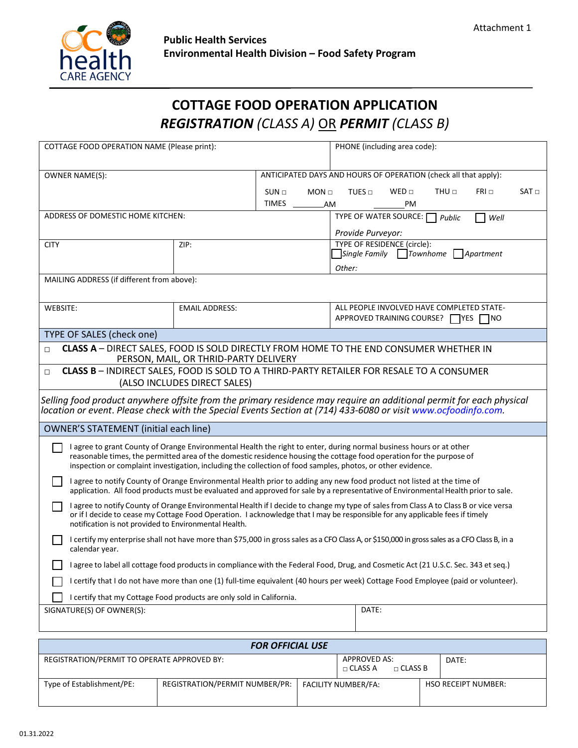

# **COTTAGE FOOD OPERATION APPLICATION** *REGISTRATION (CLASS A)* OR *PERMIT (CLASS B)*

| COTTAGE FOOD OPERATION NAME (Please print):                                                                                                                                                                                                                 |      |                                                                          | PHONE (including area code):              |                                                    |        |           |            |
|-------------------------------------------------------------------------------------------------------------------------------------------------------------------------------------------------------------------------------------------------------------|------|--------------------------------------------------------------------------|-------------------------------------------|----------------------------------------------------|--------|-----------|------------|
|                                                                                                                                                                                                                                                             |      |                                                                          |                                           |                                                    |        |           |            |
| <b>OWNER NAME(S):</b>                                                                                                                                                                                                                                       |      | ANTICIPATED DAYS AND HOURS OF OPERATION (check all that apply):          |                                           |                                                    |        |           |            |
|                                                                                                                                                                                                                                                             |      | THU <b>D</b><br>$FRI \Box$<br>$SUM \Box$<br>$WED \sqcap$<br>$MON \sqcap$ |                                           |                                                    |        |           | $SAT \Box$ |
|                                                                                                                                                                                                                                                             |      | TIMES<br>AM                                                              | TUES $\Box$                               | PM.                                                |        |           |            |
| ADDRESS OF DOMESTIC HOME KITCHEN:                                                                                                                                                                                                                           |      |                                                                          |                                           | TYPE OF WATER SOURCE: [                            | Public | Well      |            |
|                                                                                                                                                                                                                                                             |      |                                                                          |                                           |                                                    |        |           |            |
| <b>CITY</b>                                                                                                                                                                                                                                                 | ZIP: |                                                                          | Provide Purveyor:                         | <b>TYPE OF RESIDENCE (circle):</b>                 |        |           |            |
|                                                                                                                                                                                                                                                             |      |                                                                          |                                           | $\bigcap$ Single Family $\bigcap$ Townhome $\big[$ |        | Apartment |            |
|                                                                                                                                                                                                                                                             |      |                                                                          | Other:                                    |                                                    |        |           |            |
| MAILING ADDRESS (if different from above):                                                                                                                                                                                                                  |      |                                                                          |                                           |                                                    |        |           |            |
|                                                                                                                                                                                                                                                             |      |                                                                          |                                           |                                                    |        |           |            |
| WEBSITE:<br><b>EMAIL ADDRESS:</b>                                                                                                                                                                                                                           |      |                                                                          | ALL PEOPLE INVOLVED HAVE COMPLETED STATE- |                                                    |        |           |            |
|                                                                                                                                                                                                                                                             |      |                                                                          | APPROVED TRAINING COURSE? TYES TNO        |                                                    |        |           |            |
| TYPE OF SALES (check one)                                                                                                                                                                                                                                   |      |                                                                          |                                           |                                                    |        |           |            |
| CLASS A - DIRECT SALES, FOOD IS SOLD DIRECTLY FROM HOME TO THE END CONSUMER WHETHER IN<br>$\Box$                                                                                                                                                            |      |                                                                          |                                           |                                                    |        |           |            |
| PERSON, MAIL, OR THRID-PARTY DELIVERY<br><b>CLASS B - INDIRECT SALES, FOOD IS SOLD TO A THIRD-PARTY RETAILER FOR RESALE TO A CONSUMER</b>                                                                                                                   |      |                                                                          |                                           |                                                    |        |           |            |
| □<br>(ALSO INCLUDES DIRECT SALES)                                                                                                                                                                                                                           |      |                                                                          |                                           |                                                    |        |           |            |
|                                                                                                                                                                                                                                                             |      |                                                                          |                                           |                                                    |        |           |            |
| Selling food product anywhere offsite from the primary residence may require an additional permit for each physical<br>location or event. Please check with the Special Events Section at (714) 433-6080 or visit www.ocfoodinfo.com.                       |      |                                                                          |                                           |                                                    |        |           |            |
|                                                                                                                                                                                                                                                             |      |                                                                          |                                           |                                                    |        |           |            |
| <b>OWNER'S STATEMENT (initial each line)</b>                                                                                                                                                                                                                |      |                                                                          |                                           |                                                    |        |           |            |
| I agree to grant County of Orange Environmental Health the right to enter, during normal business hours or at other                                                                                                                                         |      |                                                                          |                                           |                                                    |        |           |            |
| reasonable times, the permitted area of the domestic residence housing the cottage food operation for the purpose of<br>inspection or complaint investigation, including the collection of food samples, photos, or other evidence.                         |      |                                                                          |                                           |                                                    |        |           |            |
|                                                                                                                                                                                                                                                             |      |                                                                          |                                           |                                                    |        |           |            |
| I agree to notify County of Orange Environmental Health prior to adding any new food product not listed at the time of<br>application. All food products must be evaluated and approved for sale by a representative of Environmental Health prior to sale. |      |                                                                          |                                           |                                                    |        |           |            |
| I agree to notify County of Orange Environmental Health if I decide to change my type of sales from Class A to Class B or vice versa                                                                                                                        |      |                                                                          |                                           |                                                    |        |           |            |
| or if I decide to cease my Cottage Food Operation. I acknowledge that I may be responsible for any applicable fees if timely<br>notification is not provided to Environmental Health.                                                                       |      |                                                                          |                                           |                                                    |        |           |            |
| I certify my enterprise shall not have more than \$75,000 in gross sales as a CFO Class A, or \$150,000 in gross sales as a CFO Class B, in a                                                                                                               |      |                                                                          |                                           |                                                    |        |           |            |
| calendar year.                                                                                                                                                                                                                                              |      |                                                                          |                                           |                                                    |        |           |            |
| □ I agree to label all cottage food products in compliance with the Federal Food, Drug, and Cosmetic Act (21 U.S.C. Sec. 343 et seq.)                                                                                                                       |      |                                                                          |                                           |                                                    |        |           |            |
| I certify that I do not have more than one (1) full-time equivalent (40 hours per week) Cottage Food Employee (paid or volunteer).                                                                                                                          |      |                                                                          |                                           |                                                    |        |           |            |
| I certify that my Cottage Food products are only sold in California.                                                                                                                                                                                        |      |                                                                          |                                           |                                                    |        |           |            |
| SIGNATURE(S) OF OWNER(S):                                                                                                                                                                                                                                   |      |                                                                          | DATE:                                     |                                                    |        |           |            |
|                                                                                                                                                                                                                                                             |      |                                                                          |                                           |                                                    |        |           |            |
| <b>FOR OFFICIAL USE</b>                                                                                                                                                                                                                                     |      |                                                                          |                                           |                                                    |        |           |            |
| REGISTRATION/PERMIT TO OPERATE APPROVED BY:                                                                                                                                                                                                                 |      | <b>APPROVED AS:</b>                                                      |                                           | DATE:                                              |        |           |            |
|                                                                                                                                                                                                                                                             |      |                                                                          | $\Box$ CLASS A                            | $\Box$ CLASS B                                     |        |           |            |

Type of Establishment/PE: REGISTRATION/PERMIT NUMBER/PR: | FACILITY NUMBER/FA: | HSO RECEIPT NUMBER: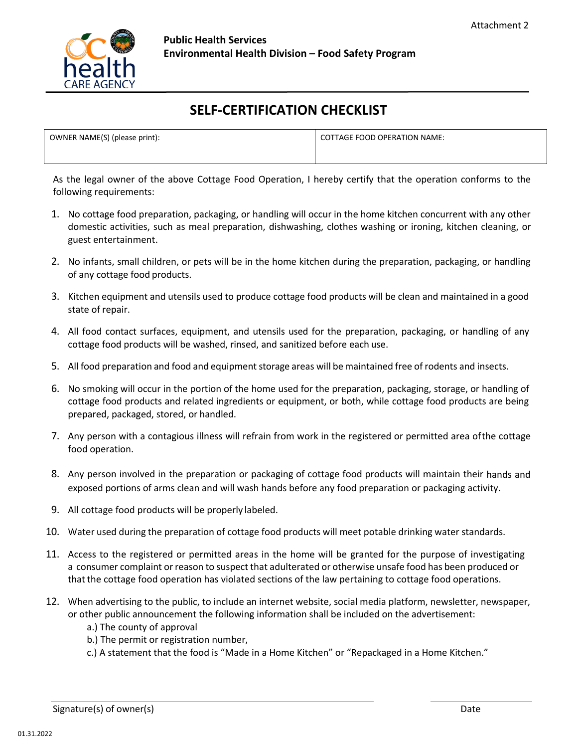

## **SELF-CERTIFICATION CHECKLIST**

OWNER NAME(S) (please print): COTTAGE FOOD OPERATION NAME:

As the legal owner of the above Cottage Food Operation, I hereby certify that the operation conforms to the following requirements:

- 1. No cottage food preparation, packaging, or handling will occur in the home kitchen concurrent with any other domestic activities, such as meal preparation, dishwashing, clothes washing or ironing, kitchen cleaning, or guest entertainment.
- 2. No infants, small children, or pets will be in the home kitchen during the preparation, packaging, or handling of any cottage food products.
- 3. Kitchen equipment and utensils used to produce cottage food products will be clean and maintained in a good state of repair.
- 4. All food contact surfaces, equipment, and utensils used for the preparation, packaging, or handling of any cottage food products will be washed, rinsed, and sanitized before each use.
- 5. All food preparation and food and equipment storage areas will be maintained free of rodents and insects.
- 6. No smoking will occur in the portion of the home used for the preparation, packaging, storage, or handling of cottage food products and related ingredients or equipment, or both, while cottage food products are being prepared, packaged, stored, or handled.
- 7. Any person with a contagious illness will refrain from work in the registered or permitted area ofthe cottage food operation.
- 8. Any person involved in the preparation or packaging of cottage food products will maintain their hands and exposed portions of arms clean and will wash hands before any food preparation or packaging activity.
- 9. All cottage food products will be properly labeled.
- 10. Water used during the preparation of cottage food products will meet potable drinking water standards.
- 11. Access to the registered or permitted areas in the home will be granted for the purpose of investigating a consumer complaint or reason to suspect that adulterated or otherwise unsafe food has been produced or that the cottage food operation has violated sections of the law pertaining to cottage food operations.
- 12. When advertising to the public, to include an internet website, social media platform, newsletter, newspaper, or other public announcement the following information shall be included on the advertisement:
	- a.) The county of approval
	- b.) The permit or registration number,
	- c.) A statement that the food is "Made in a Home Kitchen" or "Repackaged in a Home Kitchen."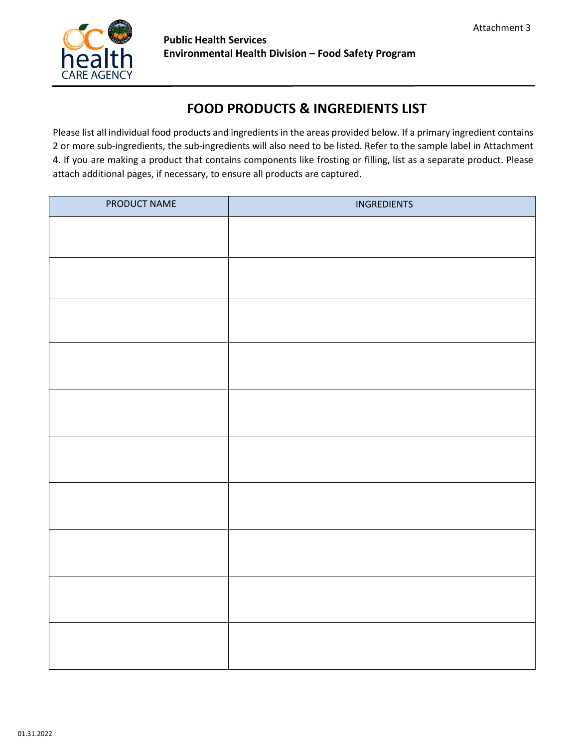

### **FOOD PRODUCTS & INGREDIENTS LIST**

Please list all individual food products and ingredients in the areas provided below. If a primary ingredient contains 2 or more sub-ingredients, the sub-ingredients will also need to be listed. Refer to the sample label in Attachment 4. If you are making a product that contains components like frosting or filling, list as a separate product. Please attach additional pages, if necessary, to ensure all products are captured.

| PRODUCT NAME | INGREDIENTS |
|--------------|-------------|
|              |             |
|              |             |
|              |             |
|              |             |
|              |             |
|              |             |
|              |             |
|              |             |
|              |             |
|              |             |
|              |             |
|              |             |
|              |             |
|              |             |
|              |             |
|              |             |
|              |             |
|              |             |
|              |             |
|              |             |
|              |             |
|              |             |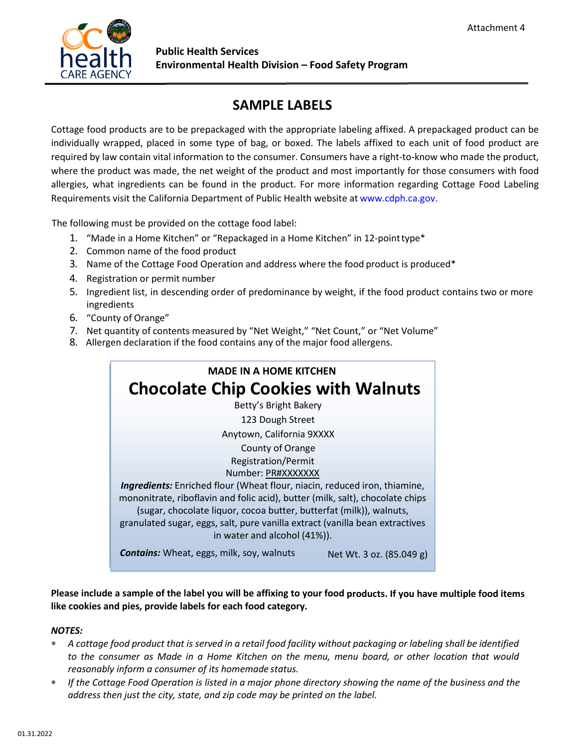

### **Public Health Services Environmental Health Division – Food Safety Program**

# **SAMPLE LABELS**

Cottage food products are to be prepackaged with the appropriate labeling affixed. A prepackaged product can be individually wrapped, placed in some type of bag, or boxed. The labels affixed to each unit of food product are required by law contain vital information to the consumer. Consumers have a right-to-know who made the product, where the product was made, the net weight of the product and most importantly for those consumers with food allergies, what ingredients can be found in the product. For more information regarding Cottage Food Labeling Requirements visit the California Department of Public Health website at [www.cdph.ca.gov.](https://www.cdph.ca.gov/Programs/CEH/DFDCS/Pages/FDBPrograms/FoodSafetyProgram/CottageFoodOperations.aspx)

The following must be provided on the cottage food label:

- 1. "Made in a Home Kitchen" or "Repackaged in a Home Kitchen" in 12-pointtype\*
- 2. Common name of the food product
- 3. Name of the Cottage Food Operation and address where the food product is produced\*
- 4. Registration or permit number
- 5. Ingredient list, in descending order of predominance by weight, if the food product contains two or more ingredients
- 6. "County of Orange"
- 7. Net quantity of contents measured by "Net Weight," "Net Count," or "Net Volume"
- 8. Allergen declaration if the food contains any of the major food allergens.



**Please include a sample of the label you will be affixing to your food products. If you have multiple food items like cookies and pies, provide labels for each food category.**

#### *NOTES:*

- ∗ *A cottage food product that is served in a retail food facility without packaging or labeling shall be identified to the consumer as Made in a Home Kitchen on the menu, menu board, or other location that would reasonably inform a consumer of its homemade status.*
- ∗ *If the Cottage Food Operation is listed in a major phone directory showing the name of the business and the address then just the city, state, and zip code may be printed on the label.*